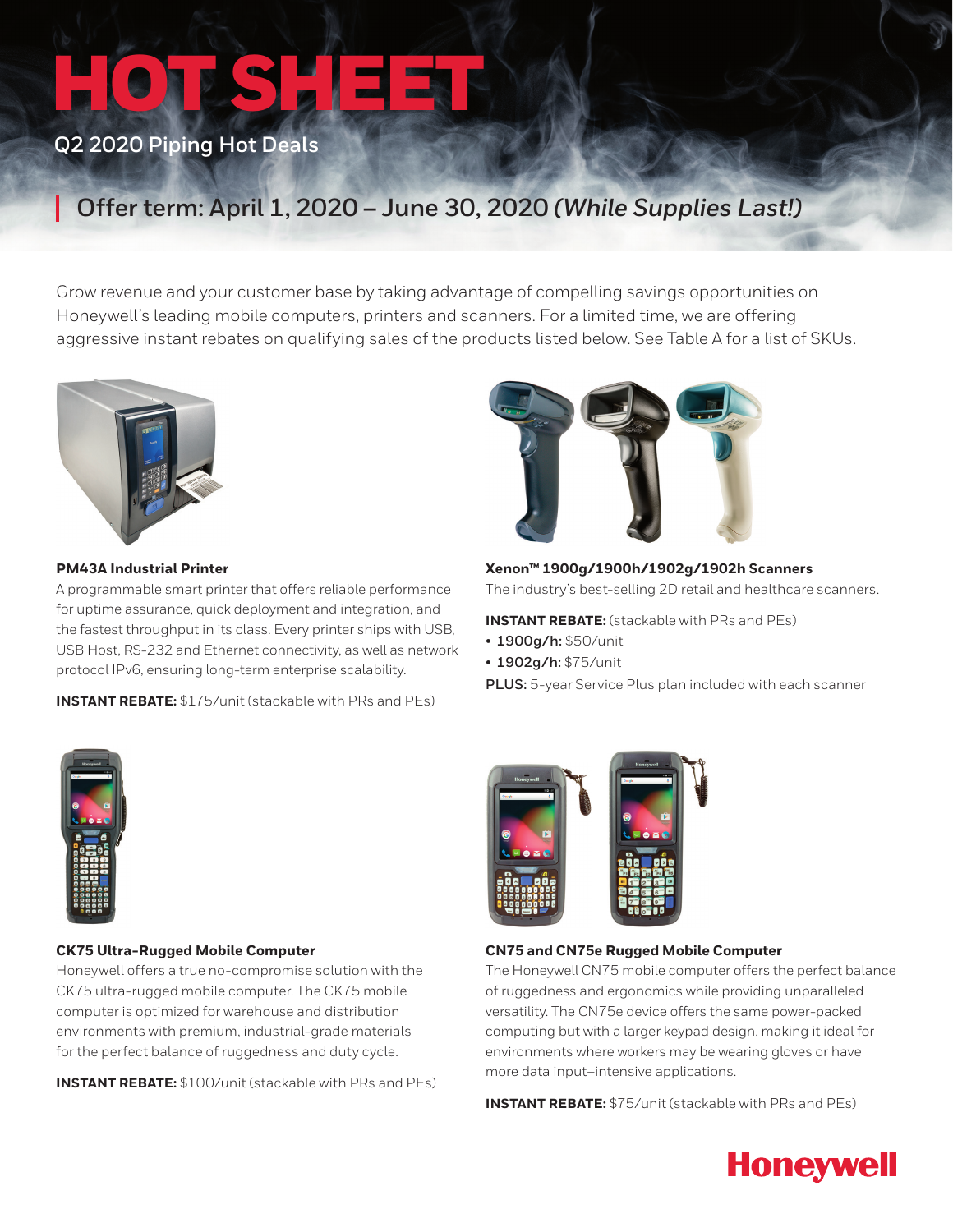# HOTSHEET

### **Q2 2020 Piping Hot Deals**

## **Offer term: April 1, 2020 – June 30, 2020** *(While Supplies Last!)*

Grow revenue and your customer base by taking advantage of compelling savings opportunities on Honeywell's leading mobile computers, printers and scanners. For a limited time, we are offering aggressive instant rebates on qualifying sales of the products listed below. See Table A for a list of SKUs.



#### **PM43A Industrial Printer**

A programmable smart printer that offers reliable performance for uptime assurance, quick deployment and integration, and the fastest throughput in its class. Every printer ships with USB, USB Host, RS-232 and Ethernet connectivity, as well as network protocol IPv6, ensuring long-term enterprise scalability.

**INSTANT REBATE:** \$175/unit (stackable with PRs and PEs)



**Xenon™ 1900g/1900h/1902g/1902h Scanners** The industry's best-selling 2D retail and healthcare scanners.

**INSTANT REBATE:** (stackable with PRs and PEs)

- **1900g/h:** \$50/unit
- **1902g/h:** \$75/unit
- **PLUS:** 5-year Service Plus plan included with each scanner



#### **CK75 Ultra-Rugged Mobile Computer**

Honeywell offers a true no-compromise solution with the CK75 ultra-rugged mobile computer. The CK75 mobile computer is optimized for warehouse and distribution environments with premium, industrial-grade materials for the perfect balance of ruggedness and duty cycle.

**INSTANT REBATE:** \$100/unit (stackable with PRs and PEs)



#### **CN75 and CN75e Rugged Mobile Computer**

The Honeywell CN75 mobile computer offers the perfect balance of ruggedness and ergonomics while providing unparalleled versatility. The CN75e device offers the same power-packed computing but with a larger keypad design, making it ideal for environments where workers may be wearing gloves or have more data input–intensive applications.

**INSTANT REBATE:** \$75/unit (stackable with PRs and PEs)

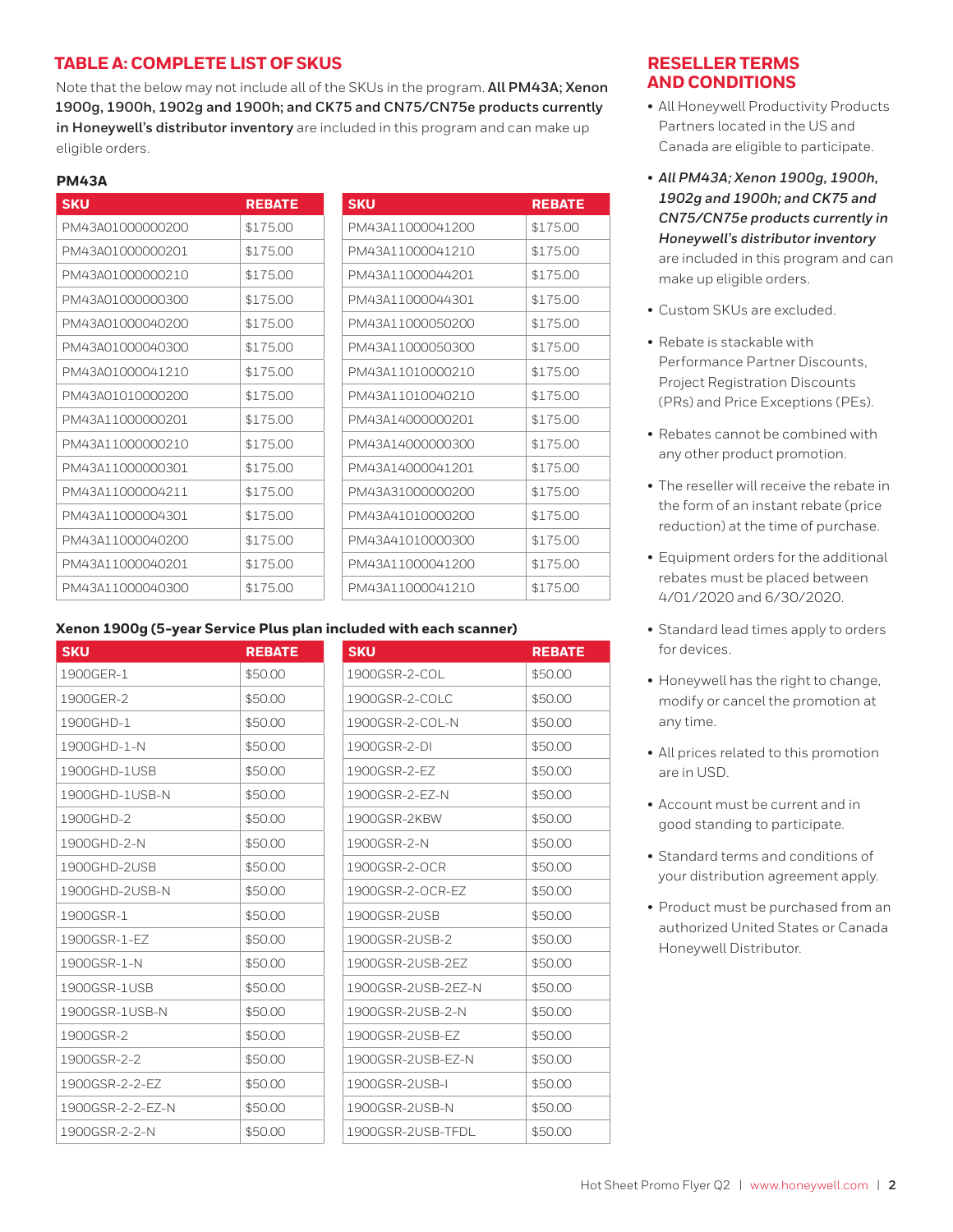#### **TABLE A: COMPLETE LIST OF SKUS**

Note that the below may not include all of the SKUs in the program. **All PM43A; Xenon 1900g, 1900h, 1902g and 1900h; and CK75 and CN75/CN75e products currently in Honeywell's distributor inventory** are included in this program and can make up eligible orders.

#### **PM43A**

| <b>SKU</b>       | <b>REBATE</b> | <b>SKU</b>       | <b>REBATE</b> |
|------------------|---------------|------------------|---------------|
| PM43A01000000200 | \$175.00      | PM43A11000041200 | \$175.00      |
| PM43A01000000201 | \$175.00      | PM43A11000041210 | \$175.00      |
| PM43A01000000210 | \$175.00      | PM43A11000044201 | \$175.00      |
| PM43A01000000300 | \$175.00      | PM43A11000044301 | \$175.00      |
| PM43A01000040200 | \$175.00      | PM43A11000050200 | \$175.00      |
| PM43A01000040300 | \$175.00      | PM43A11000050300 | \$175.00      |
| PM43A01000041210 | \$175.00      | PM43A11010000210 | \$175.00      |
| PM43A01010000200 | \$175.00      | PM43A11010040210 | \$175.00      |
| PM43A11000000201 | \$175.00      | PM43A14000000201 | \$175.00      |
| PM43A11000000210 | \$175.00      | PM43A14000000300 | \$175.00      |
| PM43A11000000301 | \$175.00      | PM43A14000041201 | \$175.00      |
| PM43A11000004211 | \$175.00      | PM43A31000000200 | \$175.00      |
| PM43A11000004301 | \$175.00      | PM43A41010000200 | \$175.00      |
| PM43A11000040200 | \$175.00      | PM43A41010000300 | \$175.00      |
| PM43A11000040201 | \$175.00      | PM43A11000041200 | \$175.00      |
| PM43A11000040300 | \$175.00      | PM43A11000041210 | \$175.00      |

#### **Xenon 1900g (5-year Service Plus plan included with each scanner)**

| <b>SKU</b>       | <b>REBATE</b> | <b>SKU</b>         | <b>REBATE</b> |
|------------------|---------------|--------------------|---------------|
| 1900GER-1        | \$50.00       | 1900GSR-2-COL      | \$50.00       |
| 1900GER-2        | \$50.00       | 1900GSR-2-COLC     | \$50.00       |
| 1900GHD-1        | \$50.00       | 1900GSR-2-COL-N    | \$50.00       |
| 1900GHD-1-N      | \$50.00       | 1900GSR-2-DI       | \$50.00       |
| 1900GHD-1USB     | \$50.00       | 1900GSR-2-EZ       | \$50.00       |
| 1900GHD-1USB-N   | \$50.00       | 1900GSR-2-EZ-N     | \$50.00       |
| 1900GHD-2        | \$50.00       | 1900GSR-2KBW       | \$50.00       |
| 1900GHD-2-N      | \$50.00       | 1900GSR-2-N        | \$50.00       |
| 1900GHD-2USB     | \$50.00       | 1900GSR-2-OCR      | \$50.00       |
| 1900GHD-2USB-N   | \$50.00       | 1900GSR-2-OCR-EZ   | \$50.00       |
| 1900GSR-1        | \$50.00       | 1900GSR-2USB       | \$50.00       |
| 1900GSR-1-EZ     | \$50.00       | 1900GSR-2USB-2     | \$50.00       |
| 1900GSR-1-N      | \$50.00       | 1900GSR-2USB-2EZ   | \$50.00       |
| 1900GSR-1USB     | \$50.00       | 1900GSR-2USB-2EZ-N | \$50.00       |
| 1900GSR-1USB-N   | \$50.00       | 1900GSR-2USB-2-N   | \$50.00       |
| 1900GSR-2        | \$50.00       | 1900GSR-2USB-EZ    | \$50.00       |
| 1900GSR-2-2      | \$50.00       | 1900GSR-2USB-EZ-N  | \$50.00       |
| 1900GSR-2-2-EZ   | \$50.00       | 1900GSR-2USB-I     | \$50.00       |
| 1900GSR-2-2-EZ-N | \$50.00       | 1900GSR-2USB-N     | \$50.00       |
| 1900GSR-2-2-N    | \$50.00       | 1900GSR-2USB-TFDL  | \$50.00       |

#### **RESELLER TERMS AND CONDITIONS**

- All Honeywell Productivity Products Partners located in the US and Canada are eligible to participate.
- *All PM43A; Xenon 1900g, 1900h, 1902g and 1900h; and CK75 and CN75/CN75e products currently in Honeywell's distributor inventory*  are included in this program and can make up eligible orders.
- Custom SKUs are excluded.
- Rebate is stackable with Performance Partner Discounts, Project Registration Discounts (PRs) and Price Exceptions (PEs).
- Rebates cannot be combined with any other product promotion.
- The reseller will receive the rebate in the form of an instant rebate (price reduction) at the time of purchase.
- Equipment orders for the additional rebates must be placed between 4/01/2020 and 6/30/2020.
- Standard lead times apply to orders for devices.
- Honeywell has the right to change, modify or cancel the promotion at any time.
- All prices related to this promotion are in USD.
- Account must be current and in good standing to participate.
- Standard terms and conditions of your distribution agreement apply.
- Product must be purchased from an authorized United States or Canada Honeywell Distributor.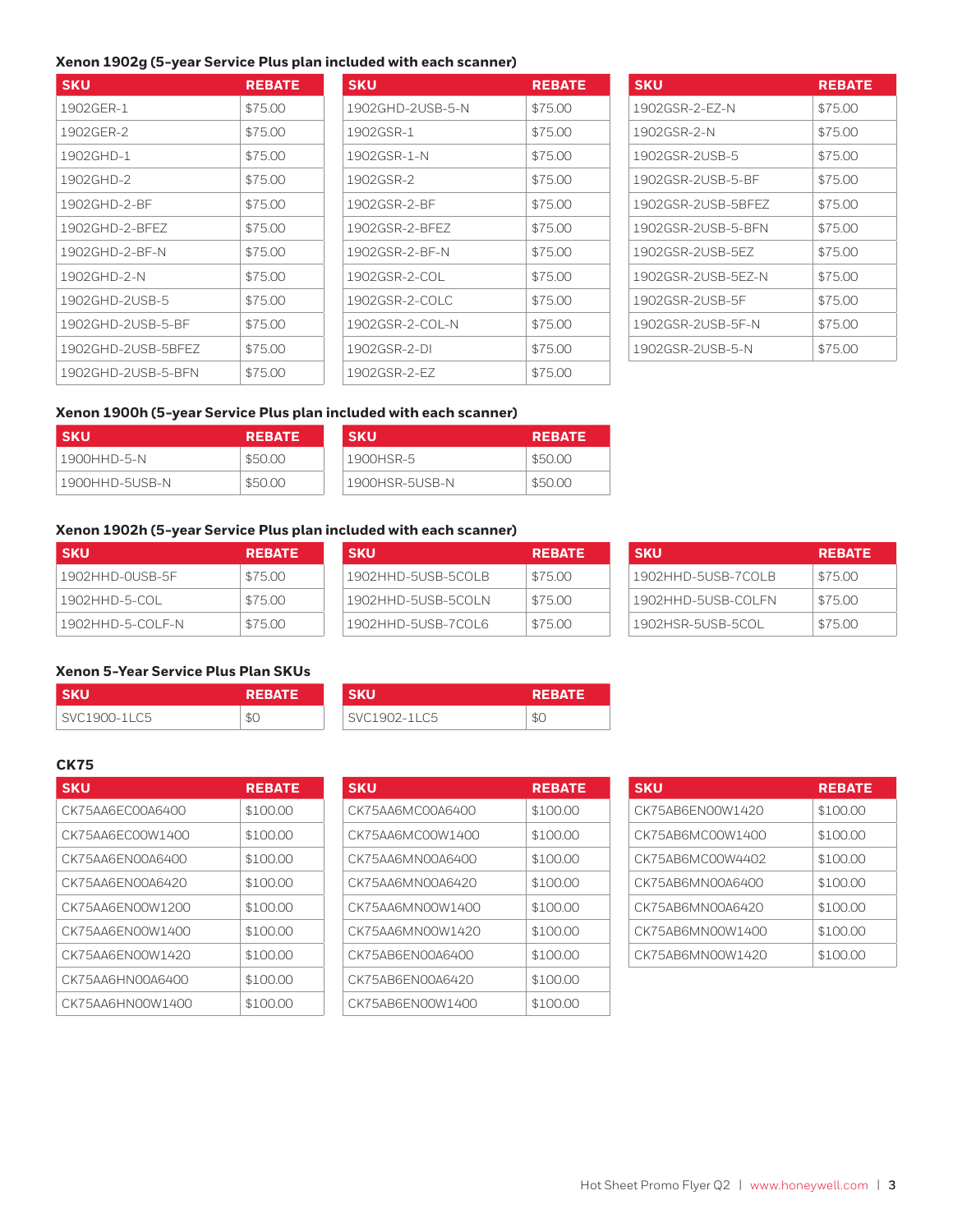#### **Xenon 1902g (5-year Service Plus plan included with each scanner)**

| <b>SKU</b>         | <b>REBATE</b> | <b>SKU</b>       | <b>REBATE</b> |
|--------------------|---------------|------------------|---------------|
| 1902GER-1          | \$75.00       | 1902GHD-2USB-5-N | \$75.00       |
| 1902GER-2          | \$75.00       | 1902GSR-1        | \$75.00       |
| 1902GHD-1          | \$75.00       | 1902GSR-1-N      | \$75.00       |
| 1902GHD-2          | \$75.00       | 1902GSR-2        | \$75.00       |
| 1902GHD-2-BF       | \$75.00       | 1902GSR-2-BF     | \$75.00       |
| 1902GHD-2-BFFZ     | \$75.00       | 1902GSR-2-BFFZ   | \$75.00       |
| 1902GHD-2-BF-N     | \$75.00       | 1902GSR-2-BF-N   | \$75.00       |
| 1902GHD-2-N        | \$75.00       | 1902GSR-2-COL    | \$75.00       |
| 1902GHD-2USB-5     | \$75.00       | 1902GSR-2-COLC   | \$75.00       |
| 1902GHD-2USB-5-BF  | \$75.00       | 1902GSR-2-COL-N  | \$75.00       |
| 1902GHD-2USB-5BFFZ | \$75.00       | 1902GSR-2-DI     | \$75.00       |
| 1902GHD-2USB-5-BFN | \$75.00       | 1902GSR-2-EZ     | \$75.00       |

| <b>SKU</b>       | <b>REBATE</b> |
|------------------|---------------|
| 1902GHD-2USB-5-N | \$75.00       |
| 1902GSR-1        | \$75.00       |
| 1902GSR-1-N      | \$75.00       |
| 1902GSR-2        | \$75.00       |
| 1902GSR-2-BE     | \$75.00       |
| 1902GSR-2-BFFZ   | \$75.00       |
| 1902GSR-2-BF-N   | \$75.00       |
| 1902GSR-2-COL    | \$75.00       |
| 1902GSR-2-COLC   | \$75.00       |
| 1902GSR-2-COL-N  | \$75.00       |
| 1902GSR-2-DI     | \$75.00       |
| 1902GSR-2-FZ     | \$75.00       |

| <b>SKU</b>         | <b>REBATE</b> |
|--------------------|---------------|
| 1902GSR-2-EZ-N     | \$75.00       |
| 1902GSR-2-N        | \$75.00       |
| 1902GSR-2USB-5     | \$75.00       |
| 1902GSR-2USB-5-BF  | \$75.00       |
| 1902GSR-2USB-5BFFZ | \$75.00       |
| 1902GSR-2USB-5-BFN | \$75.00       |
| 1902GSR-2USB-5FZ   | \$75.00       |
| 1902GSR-2USB-5EZ-N | \$75.00       |
| 1902GSR-2USB-5F    | \$75.00       |
| 1902GSR-2USB-5F-N  | \$75.00       |
| 1902GSR-2USB-5-N   | \$75.00       |

#### **Xenon 1900h (5-year Service Plus plan included with each scanner)**

| <b>SKU</b>       | <b>REBATE</b> | <b>SKU</b>     | <b>REBATE</b> |
|------------------|---------------|----------------|---------------|
| 1900HHD-5-N      | \$50.00       | 1900HSR-5      | \$50.00       |
| ' 1900HHD-5USB-N | \$50.00       | 1900HSR-5USB-N | \$50.00       |

#### **Xenon 1902h (5-year Service Plus plan included with each scanner)**

| <b>SKU</b>       | <b>REBATE</b> | <b>SKU</b>         | <b>REBATE</b> |
|------------------|---------------|--------------------|---------------|
| 1902HHD-0USB-5F  | \$75.00       | 1902HHD-5USB-5COLB | \$75.00       |
| 1902HHD-5-COL    | \$75.00       | 1902HHD-5USB-5COLN | \$75.00       |
| 1902HHD-5-COLF-N | \$75.00       | 1902HHD-5USB-7COL6 | \$75.00       |

| <b>SKU</b>           | <b>REBATE</b> |
|----------------------|---------------|
| 1902 HHD-5USB-5COLB  | \$75.00       |
| 1902HHD-5USB-5COLN   | \$75.00       |
| 1902 HH D-5USB-7COL6 | \$7500        |

| <b>SKU</b>         | <b>REBATE</b> |
|--------------------|---------------|
| 1902HHD-5USB-7COLB | \$75.00       |
| 1902HHD-5USB-COLFN | \$75.00       |
| 1902HSR-5USB-5COL  | \$75.00       |

#### **Xenon 5-Year Service Plus Plan SKUs**

| l skul       | <b>REBATE</b> ' | <b>SKU</b>   | २१ |
|--------------|-----------------|--------------|----|
| SVC1900-1LC5 | \$С             | SVC1902-11C5 | æС |

| <b>SKU</b>   | <b>REBATE</b> | SKU          | <b>REBATE</b> |
|--------------|---------------|--------------|---------------|
| SVC1900-1LC5 | \$С           | SVC1902-1LC5 | \$0           |

#### **CK75**

| <b>SKU</b>       | <b>REBATE</b> |
|------------------|---------------|
| CK75AA6EC00A6400 | \$100.00      |
| CK75AA6EC00W1400 | \$100.00      |
| CK75AA6EN00A6400 | \$100.00      |
| CK75AA6EN00A6420 | \$100.00      |
| CK75AA6EN00W1200 | \$100.00      |
| CK75AA6EN00W1400 | \$100.00      |
| CK75AA6EN00W1420 | \$100.00      |
| CK75AA6HN00A6400 | \$100.00      |
| CK75AA6HN00W1400 | \$100.00      |

| SKU              | <b>REBATE</b> | <b>SKU</b>       | <b>REBATE</b> | <b>SKU</b>       | <b>REBATE</b> |
|------------------|---------------|------------------|---------------|------------------|---------------|
| CK75AA6EC00A6400 | \$100.00      | CK75AA6MC00A6400 | \$100.00      | CK75AB6EN00W1420 | \$100.00      |
| CK75AA6EC00W1400 | \$100.00      | CK75AA6MC00W1400 | \$100.00      | CK75AB6MC00W1400 | \$100.00      |
| CK75AA6EN00A6400 | \$100.00      | CK75AA6MN00A6400 | \$100.00      | CK75AB6MC00W4402 | \$100.00      |
| CK75AA6EN00A6420 | \$100.00      | CK75AA6MN00A6420 | \$100.00      | CK75AB6MN00A6400 | \$100.00      |
| CK75AA6EN00W1200 | \$100.00      | CK75AA6MN00W1400 | \$100.00      | CK75AB6MN00A6420 | \$100.00      |
| CK75AA6EN00W1400 | \$100.00      | CK75AA6MN00W1420 | \$100.00      | CK75AB6MN00W1400 | \$100.00      |
| CK75AA6EN00W1420 | \$100.00      | CK75AB6EN00A6400 | \$100.00      | CK75AB6MN00W1420 | \$100.00      |
| CK75AA6HN00A6400 | \$100.00      | CK75AB6EN00A6420 | \$100.00      |                  |               |
| CK75AA6HN00W1400 | \$100.00      | CK75AB6EN00W1400 | \$100.00      |                  |               |

| <b>SKU</b>       | <b>REBATE</b> |
|------------------|---------------|
| CK75AB6EN00W1420 | \$100.00      |
| CK754B6MC00W1400 | \$100.00      |
| CK75AB6MC00W4402 | \$100.00      |
| CK75AB6MN00A6400 | \$100.00      |
| CK75AB6MN00A6420 | \$100.00      |
| CK75AB6MN00W1400 | \$100.00      |
| CK75AB6MN00W1420 | \$100.00      |